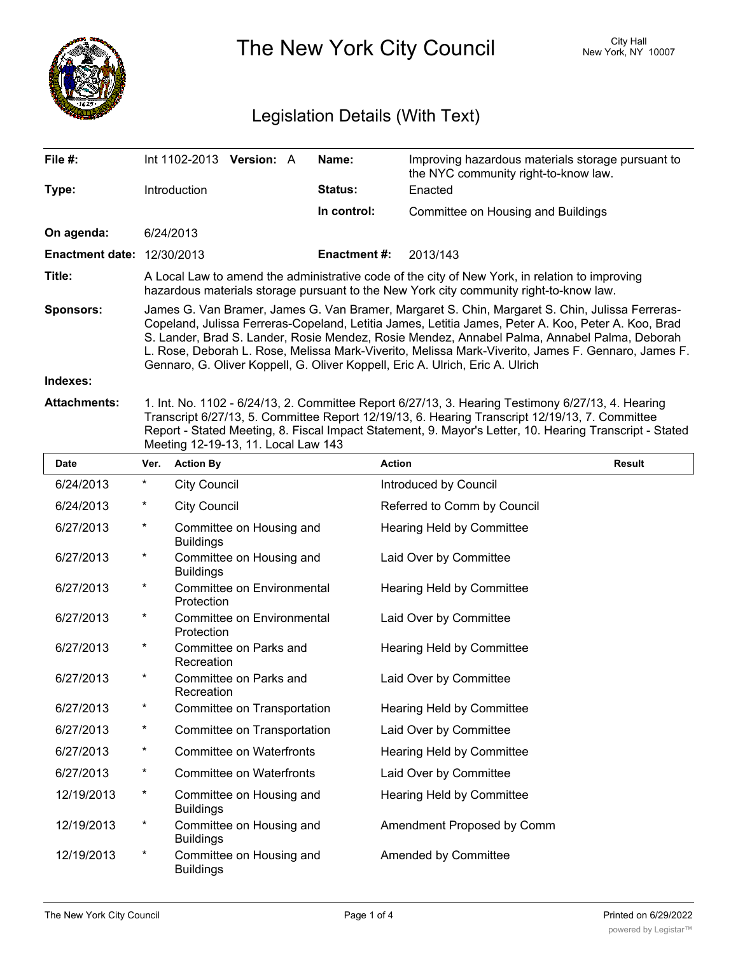

The New York City Council New York, NY 10007

# Legislation Details (With Text)

| File #:                           | $Int 1102-2013$ Version: A                                                                                                                                                                                                                                                                                                                                                                                                                                                                    |  |  | Name:          | Improving hazardous materials storage pursuant to<br>the NYC community right-to-know law. |  |  |
|-----------------------------------|-----------------------------------------------------------------------------------------------------------------------------------------------------------------------------------------------------------------------------------------------------------------------------------------------------------------------------------------------------------------------------------------------------------------------------------------------------------------------------------------------|--|--|----------------|-------------------------------------------------------------------------------------------|--|--|
| Type:                             | <b>Introduction</b>                                                                                                                                                                                                                                                                                                                                                                                                                                                                           |  |  | <b>Status:</b> | Enacted                                                                                   |  |  |
|                                   |                                                                                                                                                                                                                                                                                                                                                                                                                                                                                               |  |  | In control:    | Committee on Housing and Buildings                                                        |  |  |
| On agenda:                        | 6/24/2013                                                                                                                                                                                                                                                                                                                                                                                                                                                                                     |  |  |                |                                                                                           |  |  |
| <b>Enactment date: 12/30/2013</b> |                                                                                                                                                                                                                                                                                                                                                                                                                                                                                               |  |  | Enactment #:   | 2013/143                                                                                  |  |  |
| Title:                            | A Local Law to amend the administrative code of the city of New York, in relation to improving<br>hazardous materials storage pursuant to the New York city community right-to-know law.                                                                                                                                                                                                                                                                                                      |  |  |                |                                                                                           |  |  |
| <b>Sponsors:</b>                  | James G. Van Bramer, James G. Van Bramer, Margaret S. Chin, Margaret S. Chin, Julissa Ferreras-<br>Copeland, Julissa Ferreras-Copeland, Letitia James, Letitia James, Peter A. Koo, Peter A. Koo, Brad<br>S. Lander, Brad S. Lander, Rosie Mendez, Rosie Mendez, Annabel Palma, Annabel Palma, Deborah<br>L. Rose, Deborah L. Rose, Melissa Mark-Viverito, Melissa Mark-Viverito, James F. Gennaro, James F.<br>Gennaro, G. Oliver Koppell, G. Oliver Koppell, Eric A. Ulrich, Eric A. Ulrich |  |  |                |                                                                                           |  |  |
| Indexes:                          |                                                                                                                                                                                                                                                                                                                                                                                                                                                                                               |  |  |                |                                                                                           |  |  |
| <b>Attachments:</b>               | 1. Int. No. 1102 - 6/24/13, 2. Committee Report 6/27/13, 3. Hearing Testimony 6/27/13, 4. Hearing<br>Transcript 6/27/13, 5. Committee Report 12/19/13, 6. Hearing Transcript 12/19/13, 7. Committee<br>Report - Stated Meeting, 8. Fiscal Impact Statement, 9. Mayor's Letter, 10. Hearing Transcript - Stated<br>Meeting 12-19-13, 11. Local Law 143                                                                                                                                         |  |  |                |                                                                                           |  |  |

| <b>Date</b> | Ver.       | <b>Action By</b>                             | <b>Action</b>               | <b>Result</b> |
|-------------|------------|----------------------------------------------|-----------------------------|---------------|
| 6/24/2013   | $^\star$   | <b>City Council</b>                          | Introduced by Council       |               |
| 6/24/2013   | $^\star$   | <b>City Council</b>                          | Referred to Comm by Council |               |
| 6/27/2013   | $^{\star}$ | Committee on Housing and<br><b>Buildings</b> | Hearing Held by Committee   |               |
| 6/27/2013   | $^\star$   | Committee on Housing and<br><b>Buildings</b> | Laid Over by Committee      |               |
| 6/27/2013   | $^\star$   | Committee on Environmental<br>Protection     | Hearing Held by Committee   |               |
| 6/27/2013   | $^\star$   | Committee on Environmental<br>Protection     | Laid Over by Committee      |               |
| 6/27/2013   | $^\star$   | Committee on Parks and<br>Recreation         | Hearing Held by Committee   |               |
| 6/27/2013   | $^\star$   | Committee on Parks and<br>Recreation         | Laid Over by Committee      |               |
| 6/27/2013   | $^\star$   | Committee on Transportation                  | Hearing Held by Committee   |               |
| 6/27/2013   | $^\star$   | Committee on Transportation                  | Laid Over by Committee      |               |
| 6/27/2013   | $^\star$   | <b>Committee on Waterfronts</b>              | Hearing Held by Committee   |               |
| 6/27/2013   | $^\star$   | <b>Committee on Waterfronts</b>              | Laid Over by Committee      |               |
| 12/19/2013  | $^\star$   | Committee on Housing and<br><b>Buildings</b> | Hearing Held by Committee   |               |
| 12/19/2013  | $^\star$   | Committee on Housing and<br><b>Buildings</b> | Amendment Proposed by Comm  |               |
| 12/19/2013  | $^\star$   | Committee on Housing and<br><b>Buildings</b> | Amended by Committee        |               |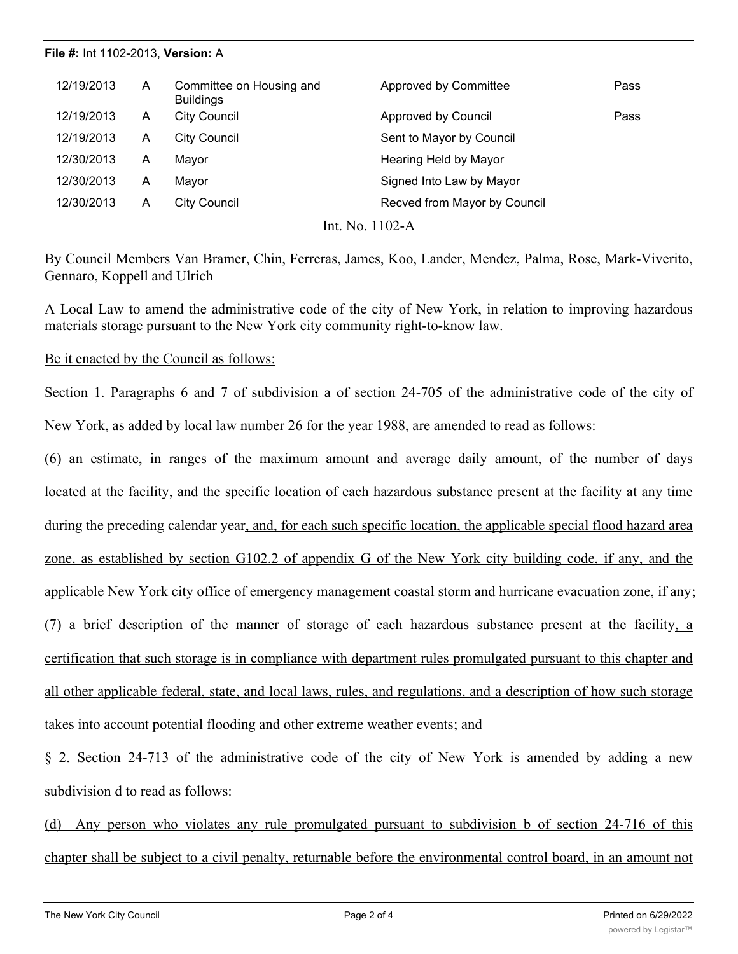## 12/19/2013 A Committee on Housing and Approved by Committee **Alta Committee** Pass **Buildings** 12/19/2013 A City Council **Approved by Council** Pass 12/19/2013 A City Council Sent to Mayor by Council 12/30/2013 A Mayor **Mayor** Hearing Held by Mayor 12/30/2013 A Mayor Signed Into Law by Mayor 12/30/2013 A City Council Recved from Mayor by Council **File #:** Int 1102-2013, **Version:** A

Int. No. 1102-A

By Council Members Van Bramer, Chin, Ferreras, James, Koo, Lander, Mendez, Palma, Rose, Mark-Viverito, Gennaro, Koppell and Ulrich

A Local Law to amend the administrative code of the city of New York, in relation to improving hazardous materials storage pursuant to the New York city community right-to-know law.

## Be it enacted by the Council as follows:

Section 1. Paragraphs 6 and 7 of subdivision a of section 24-705 of the administrative code of the city of New York, as added by local law number 26 for the year 1988, are amended to read as follows:

(6) an estimate, in ranges of the maximum amount and average daily amount, of the number of days located at the facility, and the specific location of each hazardous substance present at the facility at any time during the preceding calendar year, and, for each such specific location, the applicable special flood hazard area zone, as established by section G102.2 of appendix G of the New York city building code, if any, and the applicable New York city office of emergency management coastal storm and hurricane evacuation zone, if any; (7) a brief description of the manner of storage of each hazardous substance present at the facility, a certification that such storage is in compliance with department rules promulgated pursuant to this chapter and all other applicable federal, state, and local laws, rules, and regulations, and a description of how such storage takes into account potential flooding and other extreme weather events; and

§ 2. Section 24-713 of the administrative code of the city of New York is amended by adding a new subdivision d to read as follows:

(d) Any person who violates any rule promulgated pursuant to subdivision b of section 24-716 of this chapter shall be subject to a civil penalty, returnable before the environmental control board, in an amount not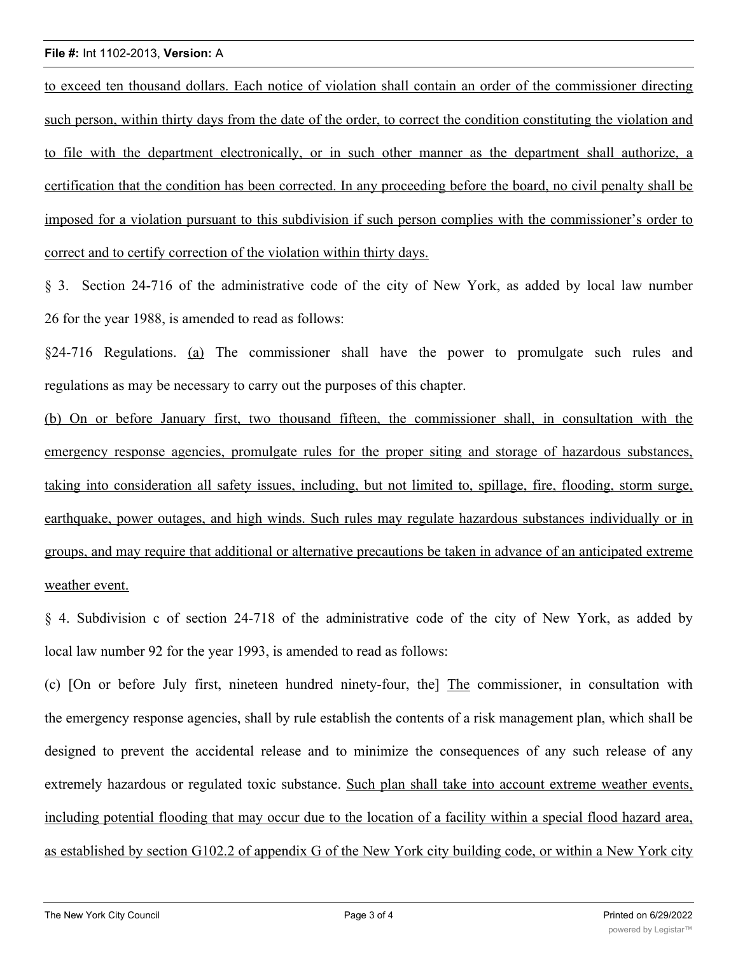### **File #:** Int 1102-2013, **Version:** A

to exceed ten thousand dollars. Each notice of violation shall contain an order of the commissioner directing such person, within thirty days from the date of the order, to correct the condition constituting the violation and to file with the department electronically, or in such other manner as the department shall authorize, a certification that the condition has been corrected. In any proceeding before the board, no civil penalty shall be imposed for a violation pursuant to this subdivision if such person complies with the commissioner's order to correct and to certify correction of the violation within thirty days.

§ 3. Section 24-716 of the administrative code of the city of New York, as added by local law number 26 for the year 1988, is amended to read as follows:

§24-716 Regulations. (a) The commissioner shall have the power to promulgate such rules and regulations as may be necessary to carry out the purposes of this chapter.

(b) On or before January first, two thousand fifteen, the commissioner shall, in consultation with the emergency response agencies, promulgate rules for the proper siting and storage of hazardous substances, taking into consideration all safety issues, including, but not limited to, spillage, fire, flooding, storm surge, earthquake, power outages, and high winds. Such rules may regulate hazardous substances individually or in groups, and may require that additional or alternative precautions be taken in advance of an anticipated extreme weather event.

§ 4. Subdivision c of section 24-718 of the administrative code of the city of New York, as added by local law number 92 for the year 1993, is amended to read as follows:

(c) [On or before July first, nineteen hundred ninety-four, the] The commissioner, in consultation with the emergency response agencies, shall by rule establish the contents of a risk management plan, which shall be designed to prevent the accidental release and to minimize the consequences of any such release of any extremely hazardous or regulated toxic substance. Such plan shall take into account extreme weather events, including potential flooding that may occur due to the location of a facility within a special flood hazard area, as established by section G102.2 of appendix G of the New York city building code, or within a New York city